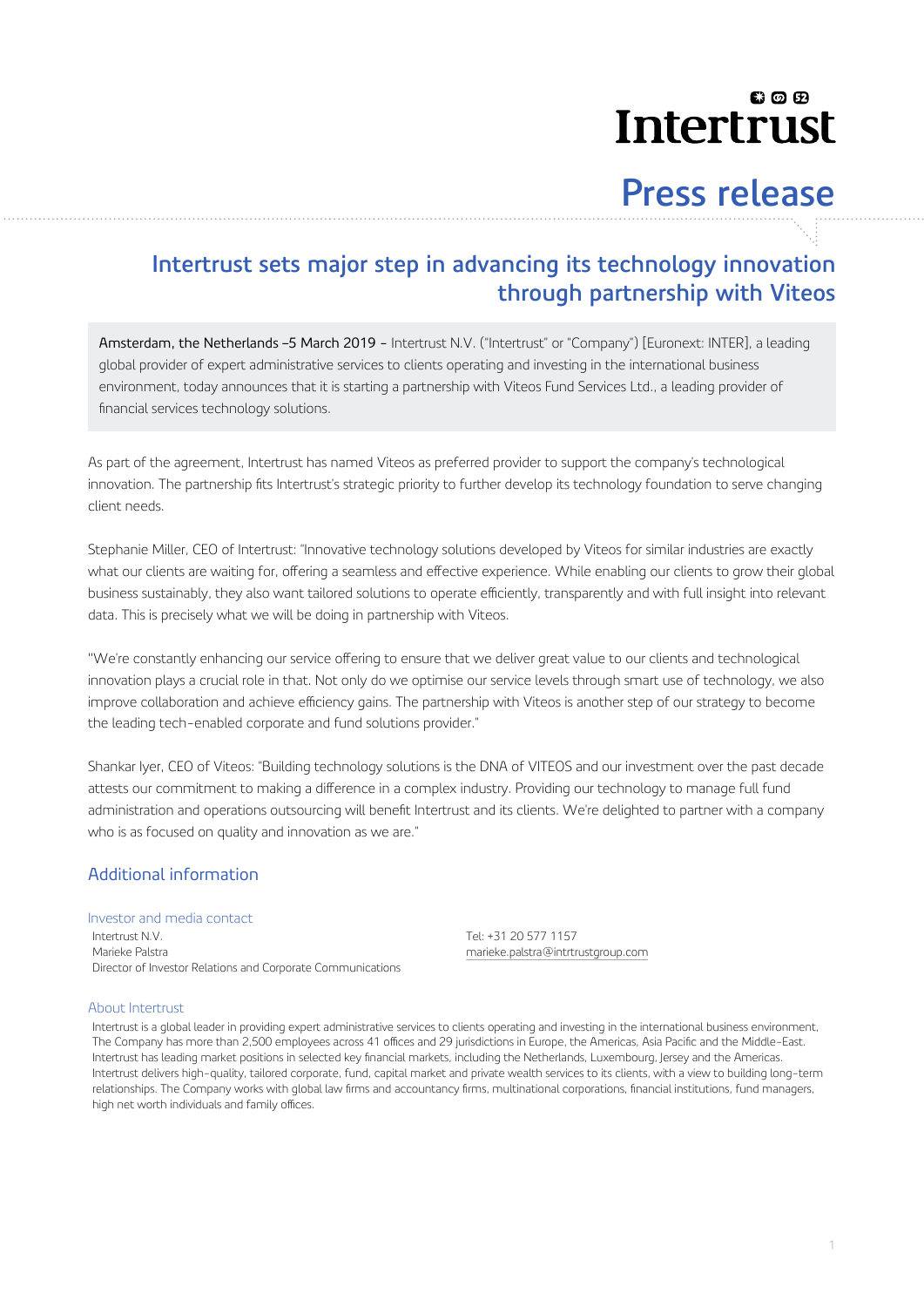## லை Intertrust

# **Press release**

## **Intertrust sets major step in advancing its technology innovation through partnership with Viteos**

Amsterdam, the Netherlands –5 March 2019 - Intertrust N.V. ("Intertrust" or "Company") [Euronext: INTER], a leading global provider of expert administrative services to clients operating and investing in the international business environment, today announces that it is starting a partnership with Viteos Fund Services Ltd., a leading provider of financial services technology solutions.

As part of the agreement, Intertrust has named Viteos as preferred provider to support the company's technological innovation. The partnership fits Intertrust's strategic priority to further develop its technology foundation to serve changing client needs.

Stephanie Miller, CEO of Intertrust: "Innovative technology solutions developed by Viteos for similar industries are exactly what our clients are waiting for, offering a seamless and effective experience. While enabling our clients to grow their global business sustainably, they also want tailored solutions to operate efficiently, transparently and with full insight into relevant data. This is precisely what we will be doing in partnership with Viteos.

"We're constantly enhancing our service offering to ensure that we deliver great value to our clients and technological innovation plays a crucial role in that. Not only do we optimise our service levels through smart use of technology, we also improve collaboration and achieve efficiency gains. The partnership with Viteos is another step of our strategy to become the leading tech-enabled corporate and fund solutions provider."

Shankar Iyer, CEO of Viteos: "Building technology solutions is the DNA of VITEOS and our investment over the past decade attests our commitment to making a difference in a complex industry. Providing our technology to manage full fund administration and operations outsourcing will benefit Intertrust and its clients. We're delighted to partner with a company who is as focused on quality and innovation as we are."

## Additional information

### Investor and media contact

Intertrust N.V. Tel: +31 20 577 1157 Marieke Palstra marieke.palstra@intrtrustgroup.com Director of Investor Relations and Corporate Communications

### About Intertrust

Intertrust is a global leader in providing expert administrative services to clients operating and investing in the international business environment, The Company has more than 2,500 employees across 41 offices and 29 jurisdictions in Europe, the Americas, Asia Pacific and the Middle-East. Intertrust has leading market positions in selected key financial markets, including the Netherlands, Luxembourg, Jersey and the Americas. Intertrust delivers high-quality, tailored corporate, fund, capital market and private wealth services to its clients, with a view to building long-term relationships. The Company works with global law firms and accountancy firms, multinational corporations, financial institutions, fund managers, high net worth individuals and family offices.